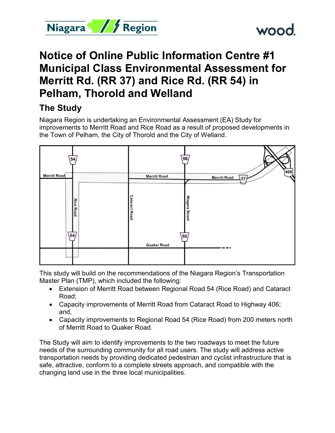



# **Notice of Online Public Information Centre #1 Municipal Class Environmental Assessment for Merritt Rd. (RR 37) and Rice Rd. (RR 54) in Pelham, Thorold and Welland**

## **The Study**

Niagara Region is undertaking an Environmental Assessment (EA) Study for improvements to Merritt Road and Rice Road as a result of proposed developments in the Town of Pelham, the City of Thorold and the City of Welland.



This study will build on the recommendations of the Niagara Region's Transportation Master Plan (TMP), which included the following:

- Extension of Merritt Road between Regional Road 54 (Rice Road) and Cataract Road;
- Capacity improvements of Merritt Road from Cataract Road to Highway 406; and,
- Capacity improvements to Regional Road 54 (Rice Road) from 200 meters north of Merritt Road to Quaker Road.

The Study will aim to identify improvements to the two roadways to meet the future needs of the surrounding community for all road users. The study will address active transportation needs by providing dedicated pedestrian and cyclist infrastructure that is safe, attractive, conform to a complete streets approach, and compatible with the changing land use in the three local municipalities.